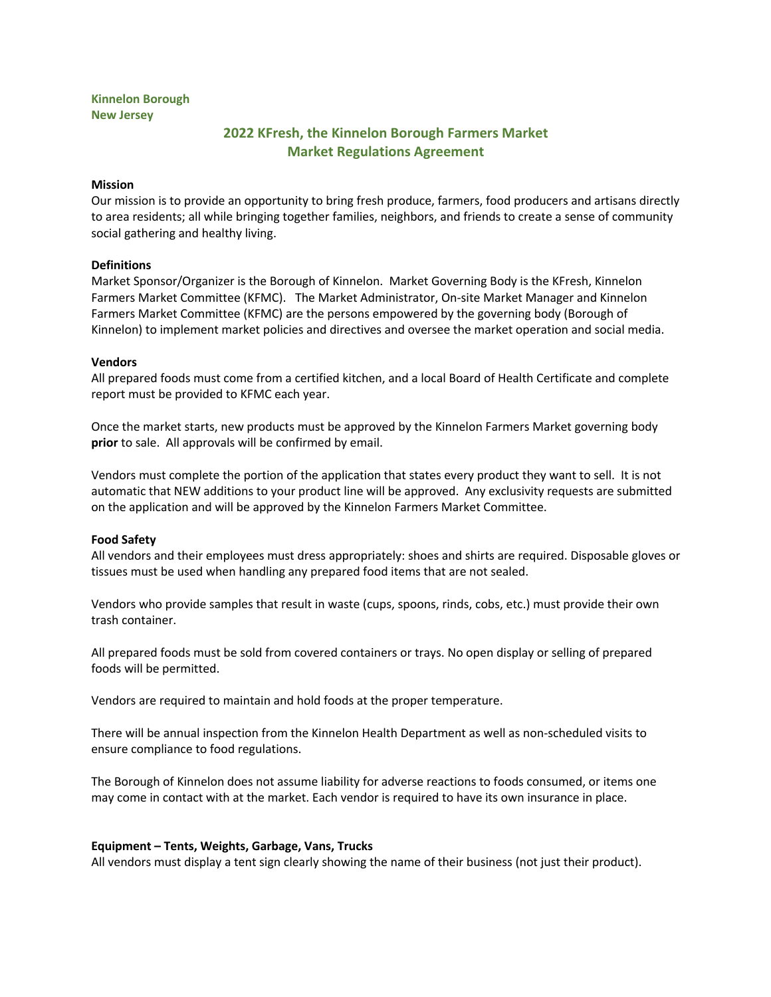# **Kinnelon Borough New Jersey**

# **2022 KFresh, the Kinnelon Borough Farmers Market Market Regulations Agreement**

### **Mission**

Our mission is to provide an opportunity to bring fresh produce, farmers, food producers and artisans directly to area residents; all while bringing together families, neighbors, and friends to create a sense of community social gathering and healthy living.

# **Definitions**

Market Sponsor/Organizer is the Borough of Kinnelon. Market Governing Body is the KFresh, Kinnelon Farmers Market Committee (KFMC). The Market Administrator, On-site Market Manager and Kinnelon Farmers Market Committee (KFMC) are the persons empowered by the governing body (Borough of Kinnelon) to implement market policies and directives and oversee the market operation and social media.

#### **Vendors**

All prepared foods must come from a certified kitchen, and a local Board of Health Certificate and complete report must be provided to KFMC each year.

Once the market starts, new products must be approved by the Kinnelon Farmers Market governing body **prior** to sale. All approvals will be confirmed by email.

Vendors must complete the portion of the application that states every product they want to sell. It is not automatic that NEW additions to your product line will be approved. Any exclusivity requests are submitted on the application and will be approved by the Kinnelon Farmers Market Committee.

# **Food Safety**

All vendors and their employees must dress appropriately: shoes and shirts are required. Disposable gloves or tissues must be used when handling any prepared food items that are not sealed.

Vendors who provide samples that result in waste (cups, spoons, rinds, cobs, etc.) must provide their own trash container.

All prepared foods must be sold from covered containers or trays. No open display or selling of prepared foods will be permitted.

Vendors are required to maintain and hold foods at the proper temperature.

There will be annual inspection from the Kinnelon Health Department as well as non-scheduled visits to ensure compliance to food regulations.

The Borough of Kinnelon does not assume liability for adverse reactions to foods consumed, or items one may come in contact with at the market. Each vendor is required to have its own insurance in place.

# **Equipment – Tents, Weights, Garbage, Vans, Trucks**

All vendors must display a tent sign clearly showing the name of their business (not just their product).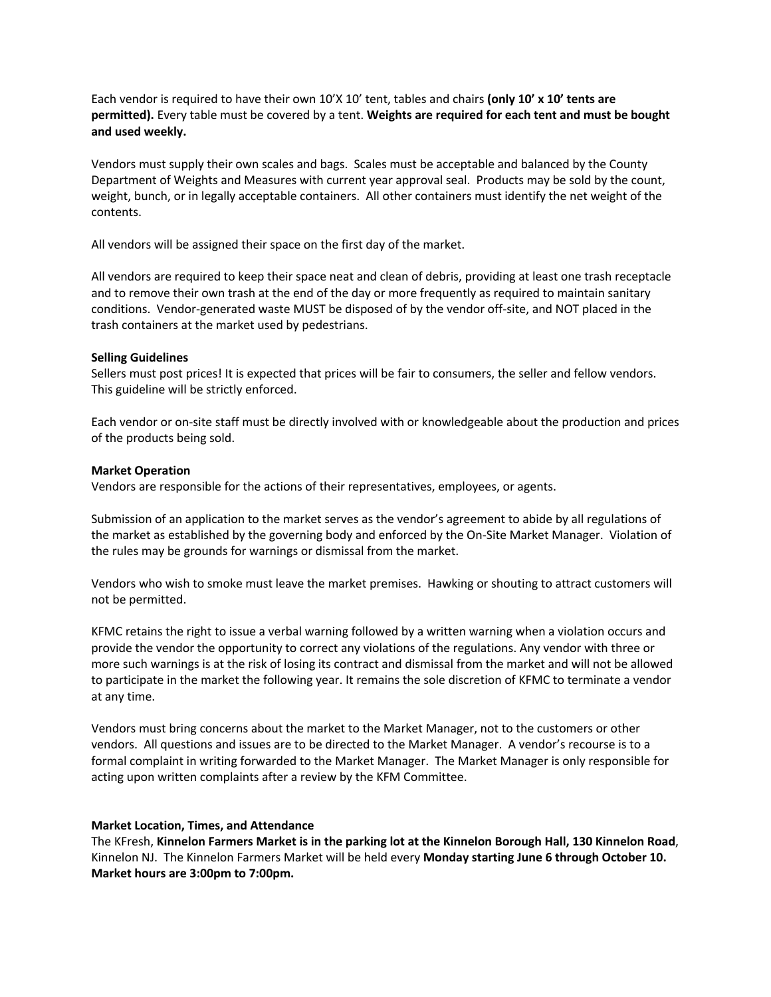Each vendor is required to have their own 10'X 10' tent, tables and chairs **(only 10' x 10' tents are permitted).** Every table must be covered by a tent. **Weights are required for each tent and must be bought and used weekly.**

Vendors must supply their own scales and bags. Scales must be acceptable and balanced by the County Department of Weights and Measures with current year approval seal. Products may be sold by the count, weight, bunch, or in legally acceptable containers. All other containers must identify the net weight of the contents.

All vendors will be assigned their space on the first day of the market.

All vendors are required to keep their space neat and clean of debris, providing at least one trash receptacle and to remove their own trash at the end of the day or more frequently as required to maintain sanitary conditions. Vendor-generated waste MUST be disposed of by the vendor off-site, and NOT placed in the trash containers at the market used by pedestrians.

#### **Selling Guidelines**

Sellers must post prices! It is expected that prices will be fair to consumers, the seller and fellow vendors. This guideline will be strictly enforced.

Each vendor or on-site staff must be directly involved with or knowledgeable about the production and prices of the products being sold.

#### **Market Operation**

Vendors are responsible for the actions of their representatives, employees, or agents.

Submission of an application to the market serves as the vendor's agreement to abide by all regulations of the market as established by the governing body and enforced by the On-Site Market Manager. Violation of the rules may be grounds for warnings or dismissal from the market.

Vendors who wish to smoke must leave the market premises. Hawking or shouting to attract customers will not be permitted.

KFMC retains the right to issue a verbal warning followed by a written warning when a violation occurs and provide the vendor the opportunity to correct any violations of the regulations. Any vendor with three or more such warnings is at the risk of losing its contract and dismissal from the market and will not be allowed to participate in the market the following year. It remains the sole discretion of KFMC to terminate a vendor at any time.

Vendors must bring concerns about the market to the Market Manager, not to the customers or other vendors. All questions and issues are to be directed to the Market Manager. A vendor's recourse is to a formal complaint in writing forwarded to the Market Manager. The Market Manager is only responsible for acting upon written complaints after a review by the KFM Committee.

#### **Market Location, Times, and Attendance**

The KFresh, **Kinnelon Farmers Market is in the parking lot at the Kinnelon Borough Hall, 130 Kinnelon Road**, Kinnelon NJ. The Kinnelon Farmers Market will be held every **Monday starting June 6 through October 10. Market hours are 3:00pm to 7:00pm.**